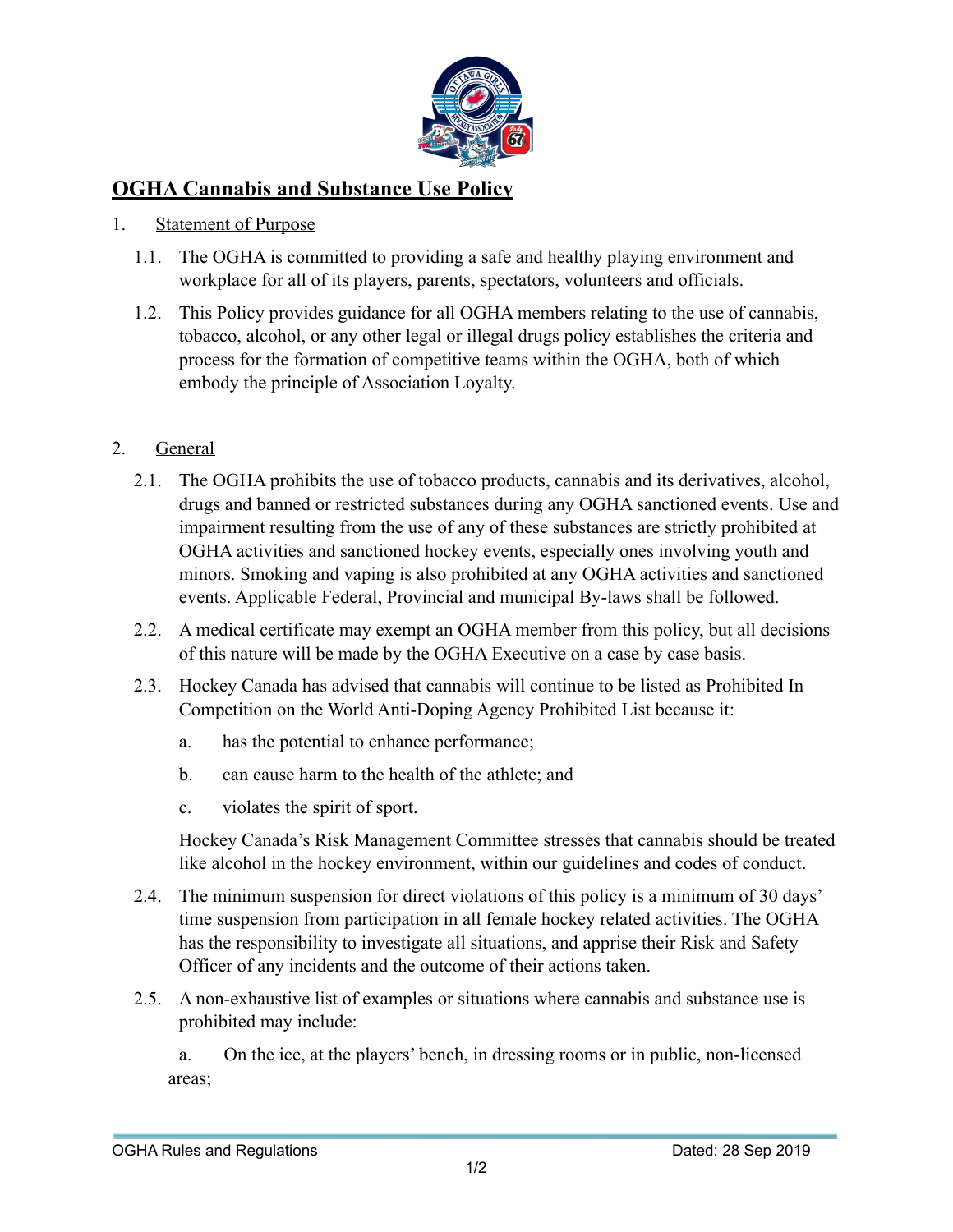

# **OGHA Cannabis and Substance Use Policy**

# 1. Statement of Purpose

- 1.1. The OGHA is committed to providing a safe and healthy playing environment and workplace for all of its players, parents, spectators, volunteers and officials.
- 1.2. This Policy provides guidance for all OGHA members relating to the use of cannabis, tobacco, alcohol, or any other legal or illegal drugs policy establishes the criteria and process for the formation of competitive teams within the OGHA, both of which embody the principle of Association Loyalty.

# 2. General

- 2.1. The OGHA prohibits the use of tobacco products, cannabis and its derivatives, alcohol, drugs and banned or restricted substances during any OGHA sanctioned events. Use and impairment resulting from the use of any of these substances are strictly prohibited at OGHA activities and sanctioned hockey events, especially ones involving youth and minors. Smoking and vaping is also prohibited at any OGHA activities and sanctioned events. Applicable Federal, Provincial and municipal By-laws shall be followed.
- 2.2. A medical certificate may exempt an OGHA member from this policy, but all decisions of this nature will be made by the OGHA Executive on a case by case basis.
- 2.3. Hockey Canada has advised that cannabis will continue to be listed as Prohibited In Competition on the World Anti-Doping Agency Prohibited List because it:
	- a. has the potential to enhance performance;
	- b. can cause harm to the health of the athlete; and
	- c. violates the spirit of sport.

Hockey Canada's Risk Management Committee stresses that cannabis should be treated like alcohol in the hockey environment, within our guidelines and codes of conduct.

- 2.4. The minimum suspension for direct violations of this policy is a minimum of 30 days' time suspension from participation in all female hockey related activities. The OGHA has the responsibility to investigate all situations, and apprise their Risk and Safety Officer of any incidents and the outcome of their actions taken.
- 2.5. A non-exhaustive list of examples or situations where cannabis and substance use is prohibited may include:

a. On the ice, at the players' bench, in dressing rooms or in public, non-licensed areas;